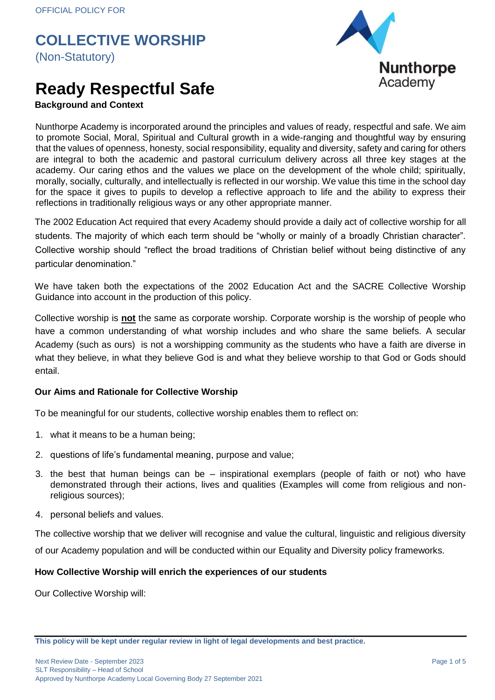

## **Ready Respectful Safe**

### **Background and Context**

Nunthorpe Academy is incorporated around the principles and values of ready, respectful and safe. We aim to promote Social, Moral, Spiritual and Cultural growth in a wide-ranging and thoughtful way by ensuring that the values of openness, honesty, social responsibility, equality and diversity, safety and caring for others are integral to both the academic and pastoral curriculum delivery across all three key stages at the academy. Our caring ethos and the values we place on the development of the whole child; spiritually, morally, socially, culturally, and intellectually is reflected in our worship. We value this time in the school day for the space it gives to pupils to develop a reflective approach to life and the ability to express their reflections in traditionally religious ways or any other appropriate manner.

The 2002 Education Act required that every Academy should provide a daily act of collective worship for all students. The majority of which each term should be "wholly or mainly of a broadly Christian character". Collective worship should "reflect the broad traditions of Christian belief without being distinctive of any particular denomination."

We have taken both the expectations of the 2002 Education Act and the SACRE Collective Worship Guidance into account in the production of this policy.

Collective worship is **not** the same as corporate worship. Corporate worship is the worship of people who have a common understanding of what worship includes and who share the same beliefs. A secular Academy (such as ours) is not a worshipping community as the students who have a faith are diverse in what they believe, in what they believe God is and what they believe worship to that God or Gods should entail.

#### **Our Aims and Rationale for Collective Worship**

To be meaningful for our students, collective worship enables them to reflect on:

- 1. what it means to be a human being;
- 2. questions of life's fundamental meaning, purpose and value;
- 3. the best that human beings can be inspirational exemplars (people of faith or not) who have demonstrated through their actions, lives and qualities (Examples will come from religious and nonreligious sources);
- 4. personal beliefs and values.

The collective worship that we deliver will recognise and value the cultural, linguistic and religious diversity

of our Academy population and will be conducted within our Equality and Diversity policy frameworks.

#### **How Collective Worship will enrich the experiences of our students**

Our Collective Worship will:

**This policy will be kept under regular review in light of legal developments and best practice.**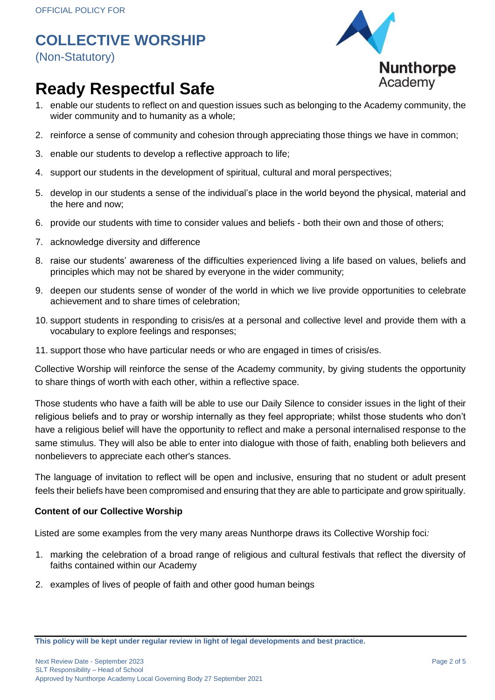

# **Ready Respectful Safe**

- 1. enable our students to reflect on and question issues such as belonging to the Academy community, the wider community and to humanity as a whole;
- 2. reinforce a sense of community and cohesion through appreciating those things we have in common;
- 3. enable our students to develop a reflective approach to life;
- 4. support our students in the development of spiritual, cultural and moral perspectives;
- 5. develop in our students a sense of the individual's place in the world beyond the physical, material and the here and now;
- 6. provide our students with time to consider values and beliefs both their own and those of others;
- 7. acknowledge diversity and difference
- 8. raise our students' awareness of the difficulties experienced living a life based on values, beliefs and principles which may not be shared by everyone in the wider community;
- 9. deepen our students sense of wonder of the world in which we live provide opportunities to celebrate achievement and to share times of celebration;
- 10. support students in responding to crisis/es at a personal and collective level and provide them with a vocabulary to explore feelings and responses;
- 11. support those who have particular needs or who are engaged in times of crisis/es.

Collective Worship will reinforce the sense of the Academy community, by giving students the opportunity to share things of worth with each other, within a reflective space.

Those students who have a faith will be able to use our Daily Silence to consider issues in the light of their religious beliefs and to pray or worship internally as they feel appropriate; whilst those students who don't have a religious belief will have the opportunity to reflect and make a personal internalised response to the same stimulus. They will also be able to enter into dialogue with those of faith, enabling both believers and nonbelievers to appreciate each other's stances.

The language of invitation to reflect will be open and inclusive, ensuring that no student or adult present feels their beliefs have been compromised and ensuring that they are able to participate and grow spiritually.

#### **Content of our Collective Worship**

Listed are some examples from the very many areas Nunthorpe draws its Collective Worship foci*:*

- 1. marking the celebration of a broad range of religious and cultural festivals that reflect the diversity of faiths contained within our Academy
- 2. examples of lives of people of faith and other good human beings

**This policy will be kept under regular review in light of legal developments and best practice.**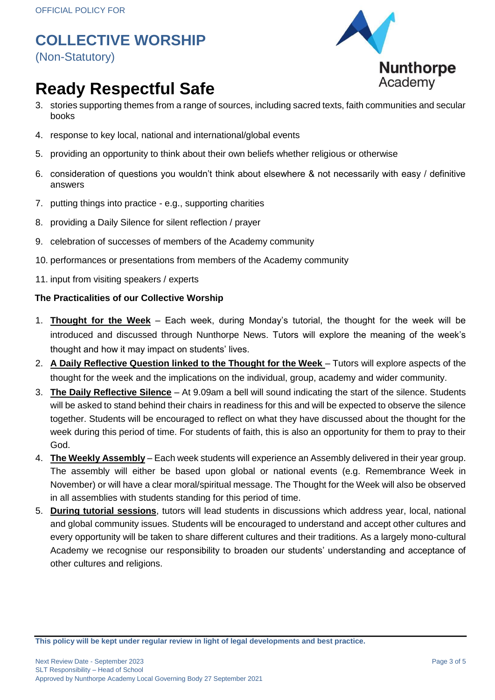

## **Ready Respectful Safe**

- 3. stories supporting themes from a range of sources, including sacred texts, faith communities and secular books
- 4. response to key local, national and international/global events
- 5. providing an opportunity to think about their own beliefs whether religious or otherwise
- 6. consideration of questions you wouldn't think about elsewhere & not necessarily with easy / definitive answers
- 7. putting things into practice e.g., supporting charities
- 8. providing a Daily Silence for silent reflection / prayer
- 9. celebration of successes of members of the Academy community
- 10. performances or presentations from members of the Academy community
- 11. input from visiting speakers / experts

### **The Practicalities of our Collective Worship**

- 1. **Thought for the Week** Each week, during Monday's tutorial, the thought for the week will be introduced and discussed through Nunthorpe News. Tutors will explore the meaning of the week's thought and how it may impact on students' lives.
- 2. **A Daily Reflective Question linked to the Thought for the Week**  Tutors will explore aspects of the thought for the week and the implications on the individual, group, academy and wider community.
- 3. **The Daily Reflective Silence** At 9.09am a bell will sound indicating the start of the silence. Students will be asked to stand behind their chairs in readiness for this and will be expected to observe the silence together. Students will be encouraged to reflect on what they have discussed about the thought for the week during this period of time. For students of faith, this is also an opportunity for them to pray to their God.
- 4. **The Weekly Assembly** Each week students will experience an Assembly delivered in their year group. The assembly will either be based upon global or national events (e.g. Remembrance Week in November) or will have a clear moral/spiritual message. The Thought for the Week will also be observed in all assemblies with students standing for this period of time.
- 5. **During tutorial sessions**, tutors will lead students in discussions which address year, local, national and global community issues. Students will be encouraged to understand and accept other cultures and every opportunity will be taken to share different cultures and their traditions. As a largely mono-cultural Academy we recognise our responsibility to broaden our students' understanding and acceptance of other cultures and religions.

**This policy will be kept under regular review in light of legal developments and best practice.**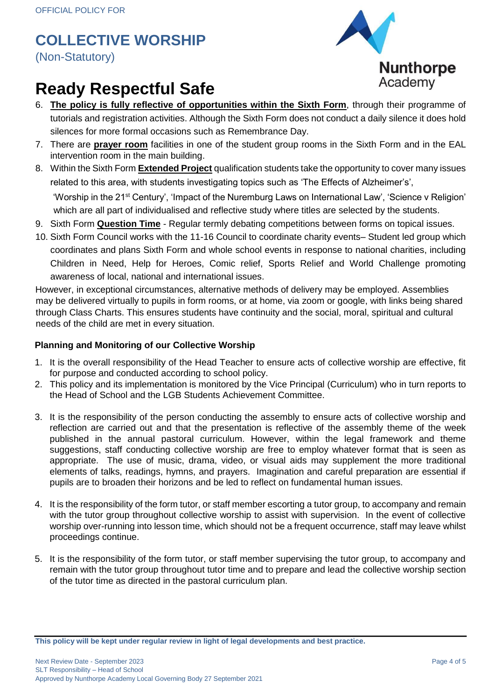

## **Ready Respectful Safe**

- 6. **The policy is fully reflective of opportunities within the Sixth Form**, through their programme of tutorials and registration activities. Although the Sixth Form does not conduct a daily silence it does hold silences for more formal occasions such as Remembrance Day.
- 7. There are **prayer room** facilities in one of the student group rooms in the Sixth Form and in the EAL intervention room in the main building.
- 8. Within the Sixth Form **Extended Project** qualification students take the opportunity to cover many issues related to this area, with students investigating topics such as 'The Effects of Alzheimer's', 'Worship in the 21st Century', 'Impact of the Nuremburg Laws on International Law', 'Science v Religion' which are all part of individualised and reflective study where titles are selected by the students.
- 9. Sixth Form **Question Time** Regular termly debating competitions between forms on topical issues.
- 10. Sixth Form Council works with the 11-16 Council to coordinate charity events– Student led group which coordinates and plans Sixth Form and whole school events in response to national charities, including Children in Need, Help for Heroes, Comic relief, Sports Relief and World Challenge promoting awareness of local, national and international issues.

However, in exceptional circumstances, alternative methods of delivery may be employed. Assemblies may be delivered virtually to pupils in form rooms, or at home, via zoom or google, with links being shared through Class Charts. This ensures students have continuity and the social, moral, spiritual and cultural needs of the child are met in every situation.

### **Planning and Monitoring of our Collective Worship**

- 1. It is the overall responsibility of the Head Teacher to ensure acts of collective worship are effective, fit for purpose and conducted according to school policy.
- 2. This policy and its implementation is monitored by the Vice Principal (Curriculum) who in turn reports to the Head of School and the LGB Students Achievement Committee.
- 3. It is the responsibility of the person conducting the assembly to ensure acts of collective worship and reflection are carried out and that the presentation is reflective of the assembly theme of the week published in the annual pastoral curriculum. However, within the legal framework and theme suggestions, staff conducting collective worship are free to employ whatever format that is seen as appropriate. The use of music, drama, video, or visual aids may supplement the more traditional elements of talks, readings, hymns, and prayers. Imagination and careful preparation are essential if pupils are to broaden their horizons and be led to reflect on fundamental human issues.
- 4. It is the responsibility of the form tutor, or staff member escorting a tutor group, to accompany and remain with the tutor group throughout collective worship to assist with supervision. In the event of collective worship over-running into lesson time, which should not be a frequent occurrence, staff may leave whilst proceedings continue.
- 5. It is the responsibility of the form tutor, or staff member supervising the tutor group, to accompany and remain with the tutor group throughout tutor time and to prepare and lead the collective worship section of the tutor time as directed in the pastoral curriculum plan.

**This policy will be kept under regular review in light of legal developments and best practice.**